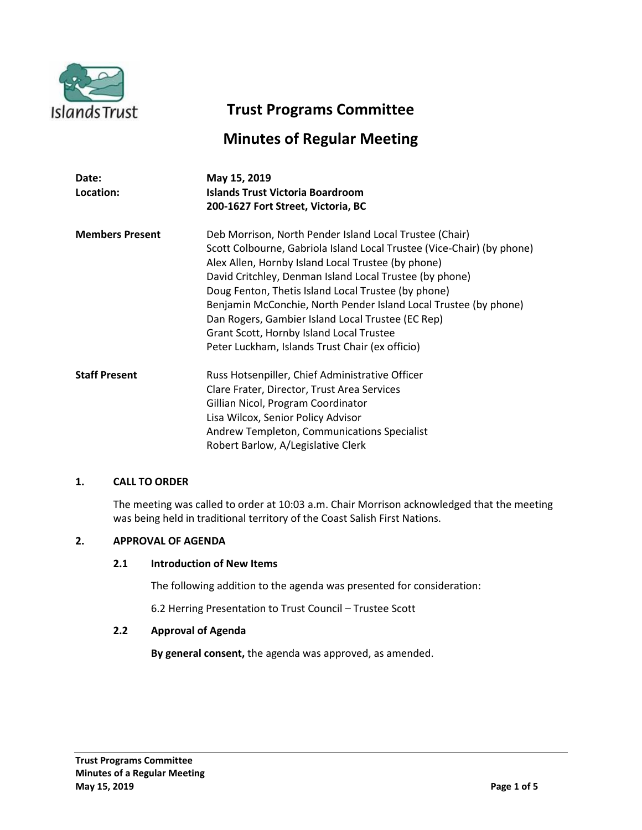

# **Trust Programs Committee**

# **Minutes of Regular Meeting**

| Date:<br>Location:     | May 15, 2019<br><b>Islands Trust Victoria Boardroom</b><br>200-1627 Fort Street, Victoria, BC                                                                                                                                                                                                                                                                                                                                                                                                                                     |
|------------------------|-----------------------------------------------------------------------------------------------------------------------------------------------------------------------------------------------------------------------------------------------------------------------------------------------------------------------------------------------------------------------------------------------------------------------------------------------------------------------------------------------------------------------------------|
| <b>Members Present</b> | Deb Morrison, North Pender Island Local Trustee (Chair)<br>Scott Colbourne, Gabriola Island Local Trustee (Vice-Chair) (by phone)<br>Alex Allen, Hornby Island Local Trustee (by phone)<br>David Critchley, Denman Island Local Trustee (by phone)<br>Doug Fenton, Thetis Island Local Trustee (by phone)<br>Benjamin McConchie, North Pender Island Local Trustee (by phone)<br>Dan Rogers, Gambier Island Local Trustee (EC Rep)<br>Grant Scott, Hornby Island Local Trustee<br>Peter Luckham, Islands Trust Chair (ex officio) |
| <b>Staff Present</b>   | Russ Hotsenpiller, Chief Administrative Officer<br>Clare Frater, Director, Trust Area Services<br>Gillian Nicol, Program Coordinator<br>Lisa Wilcox, Senior Policy Advisor<br>Andrew Templeton, Communications Specialist<br>Robert Barlow, A/Legislative Clerk                                                                                                                                                                                                                                                                   |

## **1. CALL TO ORDER**

The meeting was called to order at 10:03 a.m. Chair Morrison acknowledged that the meeting was being held in traditional territory of the Coast Salish First Nations.

## **2. APPROVAL OF AGENDA**

## **2.1 Introduction of New Items**

The following addition to the agenda was presented for consideration:

6.2 Herring Presentation to Trust Council – Trustee Scott

## **2.2 Approval of Agenda**

**By general consent,** the agenda was approved, as amended.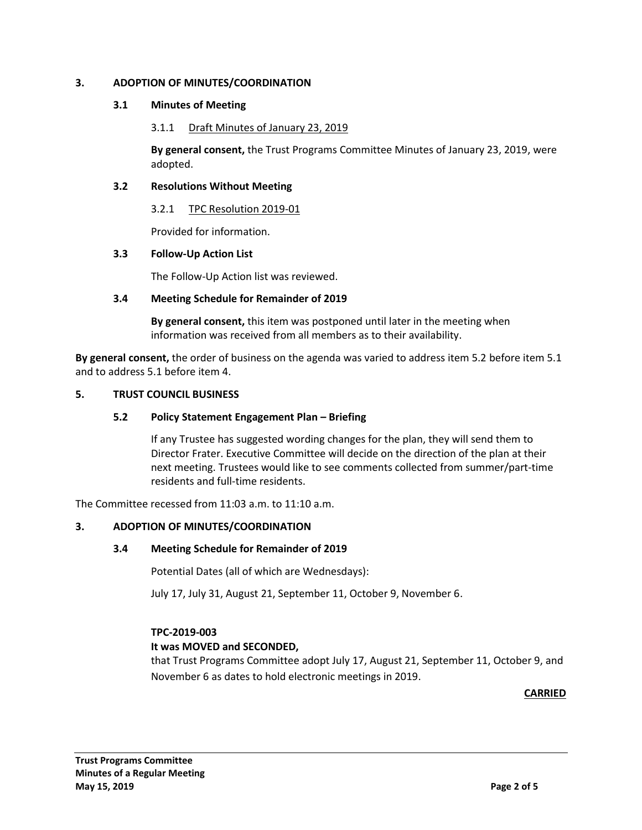# **3. ADOPTION OF MINUTES/COORDINATION**

## **3.1 Minutes of Meeting**

## 3.1.1 Draft Minutes of January 23, 2019

**By general consent,** the Trust Programs Committee Minutes of January 23, 2019, were adopted.

## **3.2 Resolutions Without Meeting**

3.2.1 TPC Resolution 2019-01

Provided for information.

## **3.3 Follow-Up Action List**

The Follow-Up Action list was reviewed.

## **3.4 Meeting Schedule for Remainder of 2019**

**By general consent,** this item was postponed until later in the meeting when information was received from all members as to their availability.

**By general consent,** the order of business on the agenda was varied to address item 5.2 before item 5.1 and to address 5.1 before item 4.

## **5. TRUST COUNCIL BUSINESS**

## **5.2 Policy Statement Engagement Plan – Briefing**

If any Trustee has suggested wording changes for the plan, they will send them to Director Frater. Executive Committee will decide on the direction of the plan at their next meeting. Trustees would like to see comments collected from summer/part-time residents and full-time residents.

The Committee recessed from 11:03 a.m. to 11:10 a.m.

## **3. ADOPTION OF MINUTES/COORDINATION**

## **3.4 Meeting Schedule for Remainder of 2019**

Potential Dates (all of which are Wednesdays):

July 17, July 31, August 21, September 11, October 9, November 6.

# **TPC-2019-003**

## **It was MOVED and SECONDED,**

that Trust Programs Committee adopt July 17, August 21, September 11, October 9, and November 6 as dates to hold electronic meetings in 2019.

**CARRIED**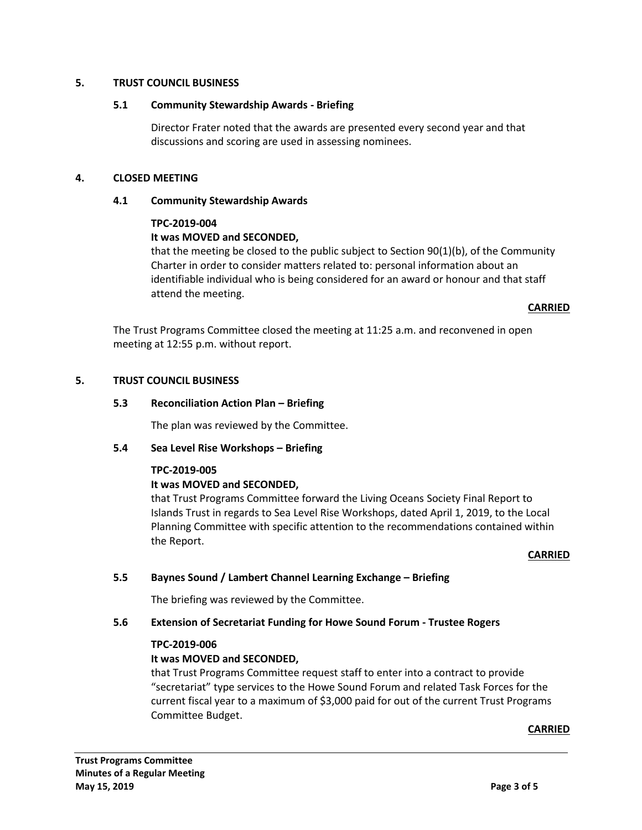## **5. TRUST COUNCIL BUSINESS**

## **5.1 Community Stewardship Awards - Briefing**

Director Frater noted that the awards are presented every second year and that discussions and scoring are used in assessing nominees.

## **4. CLOSED MEETING**

## **4.1 Community Stewardship Awards**

## **TPC-2019-004**

# **It was MOVED and SECONDED,**

that the meeting be closed to the public subject to Section 90(1)(b), of the Community Charter in order to consider matters related to: personal information about an identifiable individual who is being considered for an award or honour and that staff attend the meeting.

## **CARRIED**

The Trust Programs Committee closed the meeting at 11:25 a.m. and reconvened in open meeting at 12:55 p.m. without report.

## **5. TRUST COUNCIL BUSINESS**

## **5.3 Reconciliation Action Plan – Briefing**

The plan was reviewed by the Committee.

## **5.4 Sea Level Rise Workshops – Briefing**

## **TPC-2019-005**

# **It was MOVED and SECONDED,**

that Trust Programs Committee forward the Living Oceans Society Final Report to Islands Trust in regards to Sea Level Rise Workshops, dated April 1, 2019, to the Local Planning Committee with specific attention to the recommendations contained within the Report.

## **CARRIED**

# **5.5 Baynes Sound / Lambert Channel Learning Exchange – Briefing**

The briefing was reviewed by the Committee.

## **5.6 Extension of Secretariat Funding for Howe Sound Forum - Trustee Rogers**

## **TPC-2019-006**

# **It was MOVED and SECONDED,**

that Trust Programs Committee request staff to enter into a contract to provide "secretariat" type services to the Howe Sound Forum and related Task Forces for the current fiscal year to a maximum of \$3,000 paid for out of the current Trust Programs Committee Budget.

**CARRIED**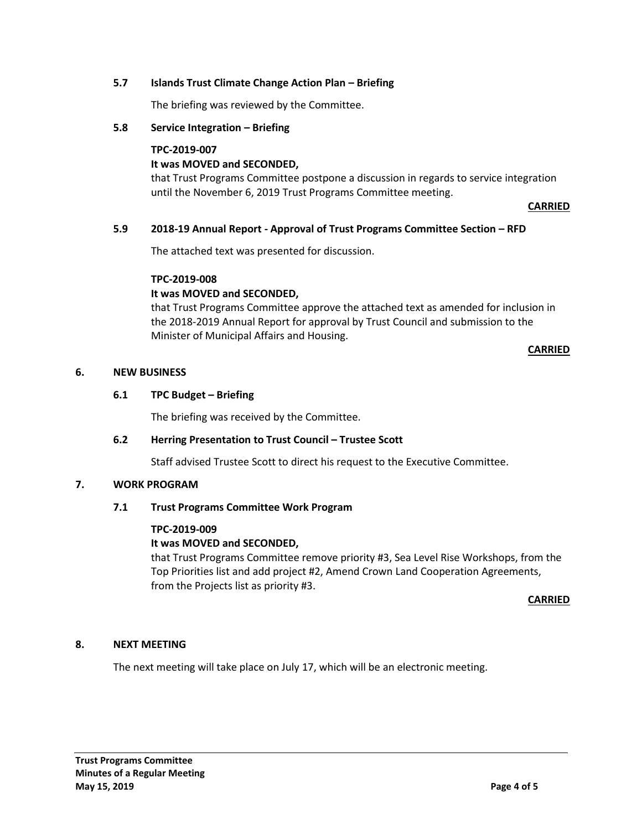## **5.7 Islands Trust Climate Change Action Plan – Briefing**

The briefing was reviewed by the Committee.

# **5.8 Service Integration – Briefing**

#### **TPC-2019-007**

# **It was MOVED and SECONDED,**

that Trust Programs Committee postpone a discussion in regards to service integration until the November 6, 2019 Trust Programs Committee meeting.

**CARRIED**

## **5.9 2018-19 Annual Report - Approval of Trust Programs Committee Section – RFD**

The attached text was presented for discussion.

## **TPC-2019-008**

## **It was MOVED and SECONDED,**

that Trust Programs Committee approve the attached text as amended for inclusion in the 2018-2019 Annual Report for approval by Trust Council and submission to the Minister of Municipal Affairs and Housing.

## **CARRIED**

## **6. NEW BUSINESS**

## **6.1 TPC Budget – Briefing**

The briefing was received by the Committee.

## **6.2 Herring Presentation to Trust Council – Trustee Scott**

Staff advised Trustee Scott to direct his request to the Executive Committee.

## **7. WORK PROGRAM**

## **7.1 Trust Programs Committee Work Program**

## **TPC-2019-009**

# **It was MOVED and SECONDED,**

that Trust Programs Committee remove priority #3, Sea Level Rise Workshops, from the Top Priorities list and add project #2, Amend Crown Land Cooperation Agreements, from the Projects list as priority #3.

## **CARRIED**

# **8. NEXT MEETING**

The next meeting will take place on July 17, which will be an electronic meeting.